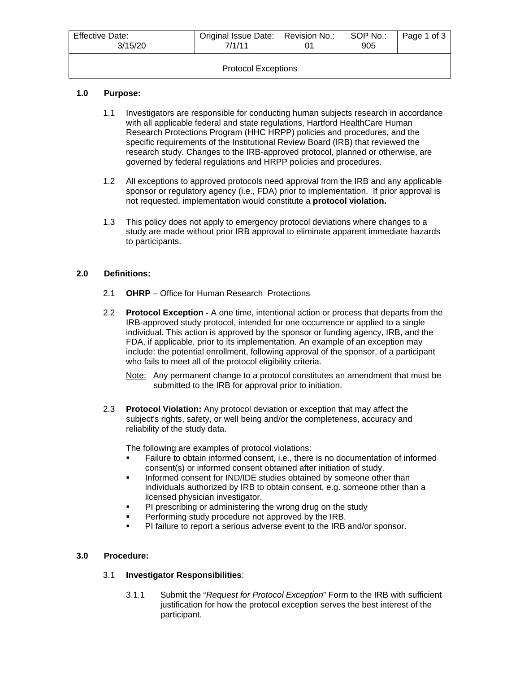| <b>Effective Date:</b><br>3/15/20 | Original Issue Date:   Revision No.:<br>7/1/11 |  | SOP No.:<br>905 | Page 1 of 3 |  |
|-----------------------------------|------------------------------------------------|--|-----------------|-------------|--|
| <b>Protocol Exceptions</b>        |                                                |  |                 |             |  |

# **1.0 Purpose:**

- 1.1 Investigators are responsible for conducting human subjects research in accordance with all applicable federal and state regulations, Hartford HealthCare Human Research Protections Program (HHC HRPP) policies and procedures, and the specific requirements of the Institutional Review Board (IRB) that reviewed the research study. Changes to the IRB-approved protocol, planned or otherwise, are governed by federal regulations and HRPP policies and procedures.
- 1.2 All exceptions to approved protocols need approval from the IRB and any applicable sponsor or regulatory agency (i.e., FDA) prior to implementation. If prior approval is not requested, implementation would constitute a **protocol violation.**
- 1.3 This policy does not apply to emergency protocol deviations where changes to a study are made without prior IRB approval to eliminate apparent immediate hazards to participants.

# **2.0 Definitions:**

- 2.1 **OHRP** Office for Human Research Protections
- 2.2 **Protocol Exception -** A one time, intentional action or process that departs from the IRB-approved study protocol, intended for one occurrence or applied to a single individual. This action is approved by the sponsor or funding agency, IRB, and the FDA, if applicable, prior to its implementation. An example of an exception may include: the potential enrollment, following approval of the sponsor, of a participant who fails to meet all of the protocol eligibility criteria.
	- Note: Any permanent change to a protocol constitutes an amendment that must be submitted to the IRB for approval prior to initiation.
- 2.3 **Protocol Violation:** Any protocol deviation or exception that may affect the subject's rights, safety, or well being and/or the completeness, accuracy and reliability of the study data.

The following are examples of protocol violations:

- Failure to obtain informed consent, i.e., there is no documentation of informed consent(s) or informed consent obtained after initiation of study.
- **Informed consent for IND/IDE studies obtained by someone other than** individuals authorized by IRB to obtain consent, e.g. someone other than a licensed physician investigator.
- **PI** prescribing or administering the wrong drug on the study
- Performing study procedure not approved by the IRB.
- PI failure to report a serious adverse event to the IRB and/or sponsor.

# **3.0 Procedure:**

# 3.1 **Investigator Responsibilities**:

3.1.1 Submit the "*Request for Protocol Exception*" Form to the IRB with sufficient justification for how the protocol exception serves the best interest of the participant.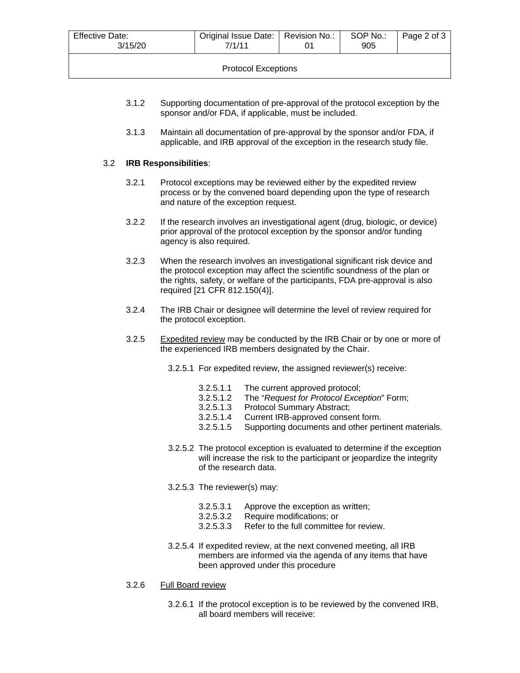| Original Issue Date:   Revision No.:<br><b>Effective Date:</b><br>3/15/20<br>7/1/11 |  |  | SOP No.:<br>905 | Page 2 of 3 |  |
|-------------------------------------------------------------------------------------|--|--|-----------------|-------------|--|
| <b>Protocol Exceptions</b>                                                          |  |  |                 |             |  |

- 3.1.2 Supporting documentation of pre-approval of the protocol exception by the sponsor and/or FDA, if applicable, must be included.
- 3.1.3 Maintain all documentation of pre-approval by the sponsor and/or FDA, if applicable, and IRB approval of the exception in the research study file.

### 3.2 **IRB Responsibilities**:

- 3.2.1 Protocol exceptions may be reviewed either by the expedited review process or by the convened board depending upon the type of research and nature of the exception request.
- 3.2.2 If the research involves an investigational agent (drug, biologic, or device) prior approval of the protocol exception by the sponsor and/or funding agency is also required.
- 3.2.3 When the research involves an investigational significant risk device and the protocol exception may affect the scientific soundness of the plan or the rights, safety, or welfare of the participants, FDA pre-approval is also required [21 CFR 812.150(4)].
- 3.2.4 The IRB Chair or designee will determine the level of review required for the protocol exception.
- 3.2.5 Expedited review may be conducted by the IRB Chair or by one or more of the experienced IRB members designated by the Chair.
	- 3.2.5.1 For expedited review, the assigned reviewer(s) receive:
		- 3.2.5.1.1 The current approved protocol;
		- 3.2.5.1.2 The "*Request for Protocol Exception*" Form;
		- 3.2.5.1.3 Protocol Summary Abstract;
		- 3.2.5.1.4 Current IRB-approved consent form.
		- 3.2.5.1.5 Supporting documents and other pertinent materials.
	- 3.2.5.2 The protocol exception is evaluated to determine if the exception will increase the risk to the participant or jeopardize the integrity of the research data.
	- 3.2.5.3 The reviewer(s) may:
		- 3.2.5.3.1 Approve the exception as written;
		- 3.2.5.3.2 Require modifications; or
		- 3.2.5.3.3 Refer to the full committee for review.
	- 3.2.5.4 If expedited review, at the next convened meeting, all IRB members are informed via the agenda of any items that have been approved under this procedure
- 3.2.6 Full Board review
	- 3.2.6.1 If the protocol exception is to be reviewed by the convened IRB, all board members will receive: